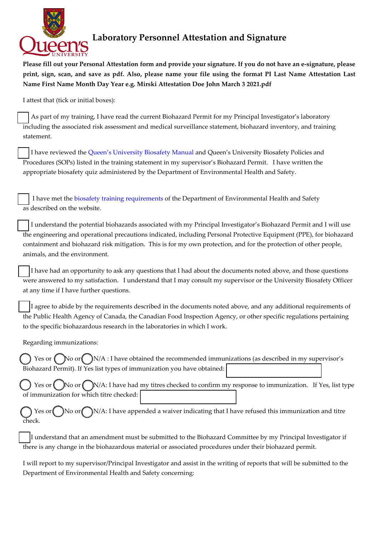

## **Laboratory Personnel Attestation and Signature**

**Please fill out your Personal Attestation form and provide your signature. If you do not have an e-signature, please print, sign, scan, and save as pdf. Also, please name your file using the format PI Last Name Attestation Last Name First Name Month Day Year e.g. Mirski Attestation Doe John March 3 2021.pdf** 

I attest that (tick or initial boxes):

 As part of my training, I have read the current Biohazard Permit for my Principal Investigator's laboratory including the associated risk assessment and medical surveillance statement, biohazard inventory, and training statement.

 I have reviewed the [Queen's University Biosafety Manual](https://safety.queensu.ca/sites/webpublish.queensu.ca.ehswww/files/files/Biosafety/Biological%20Safety%20Manual%202021.pdf) and Queen's University Biosafety Policies and Procedures (SOPs) listed in the training statement in my supervisor's Biohazard Permit. I have written the appropriate biosafety quiz administered by the Department of Environmental Health and Safety.

 I have met the biosafety training [requirements](https://safety.queensu.ca/biosafety/biosafety-training-requirements) of the Department of Environmental Health and Safety as described on the website.

 I understand the potential biohazards associated with my Principal Investigator's Biohazard Permit and I will use the engineering and operational precautions indicated, including Personal Protective Equipment (PPE), for biohazard containment and biohazard risk mitigation. This is for my own protection, and for the protection of other people, animals, and the environment.

 I have had an opportunity to ask any questions that I had about the documents noted above, and those questions were answered to my satisfaction. I understand that I may consult my supervisor or the University Biosafety Officer at any time if I have further questions.

 I agree to abide by the requirements described in the documents noted above, and any additional requirements of the Public Health Agency of Canada, the Canadian Food Inspection Agency, or other specific regulations pertaining to the specific biohazardous research in the laboratories in which I work.

Regarding immunizations:

Yes or  $\binom{\ }{\ }$  No or  $\binom{\ }{\ }$  N/A : I have obtained the recommended immunizations (as described in my supervisor's Biohazard Permit). If Yes list types of immunization you have obtained:

Yes or  $\Box$  No or  $\Box$  N/A: I have had my titres checked to confirm my response to immunization. If Yes, list type of immunization for which titre checked:

Yes or  $\bigcirc$  No or  $\bigcirc$  N/A: I have appended a waiver indicating that I have refused this immunization and titre check.

 I understand that an amendment must be submitted to the Biohazard Committee by my Principal Investigator if there is any change in the biohazardous material or associated procedures under their biohazard permit.

I will report to my supervisor/Principal Investigator and assist in the writing of reports that will be submitted to the Department of Environmental Health and Safety concerning: